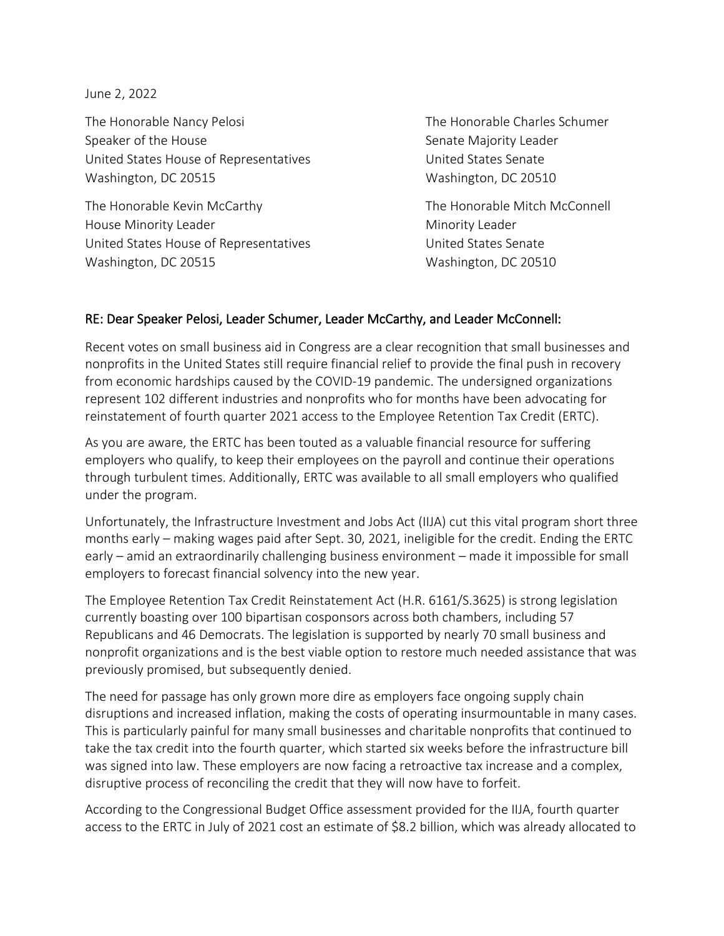June 2, 2022

The Honorable Nancy Pelosi The Honorable Charles Schumer Speaker of the House Senate Majority Leader United States House of Representatives The Music Contract United States Senate Washington, DC 20515 Washington, DC 20510

The Honorable Kevin McCarthy The Honorable Mitch McConnell House Minority Leader Notation Controllery And Minority Leader Notation And Minority Leader United States House of Representatives United States Senate Washington, DC 20515 Washington, DC 20510

## RE: Dear Speaker Pelosi, Leader Schumer, Leader McCarthy, and Leader McConnell:

Recent votes on small business aid in Congress are a clear recognition that small businesses and nonprofits in the United States still require financial relief to provide the final push in recovery from economic hardships caused by the COVID-19 pandemic. The undersigned organizations represent 102 different industries and nonprofits who for months have been advocating for reinstatement of fourth quarter 2021 access to the Employee Retention Tax Credit (ERTC).

As you are aware, the ERTC has been touted as a valuable financial resource for suffering employers who qualify, to keep their employees on the payroll and continue their operations through turbulent times. Additionally, ERTC was available to all small employers who qualified under the program.

Unfortunately, the Infrastructure Investment and Jobs Act (IIJA) cut this vital program short three months early – making wages paid after Sept. 30, 2021, ineligible for the credit. Ending the ERTC early – amid an extraordinarily challenging business environment – made it impossible for small employers to forecast financial solvency into the new year.

The Employee Retention Tax Credit Reinstatement Act (H.R. 6161/S.3625) is strong legislation currently boasting over 100 bipartisan cosponsors across both chambers, including 57 Republicans and 46 Democrats. The legislation is supported by nearly 70 small business and nonprofit organizations and is the best viable option to restore much needed assistance that was previously promised, but subsequently denied.

The need for passage has only grown more dire as employers face ongoing supply chain disruptions and increased inflation, making the costs of operating insurmountable in many cases. This is particularly painful for many small businesses and charitable nonprofits that continued to take the tax credit into the fourth quarter, which started six weeks before the infrastructure bill was signed into law. These employers are now facing a retroactive tax increase and a complex, disruptive process of reconciling the credit that they will now have to forfeit.

According to the Congressional Budget Office assessment provided for the IIJA, fourth quarter access to the ERTC in July of 2021 cost an estimate of \$8.2 billion, which was already allocated to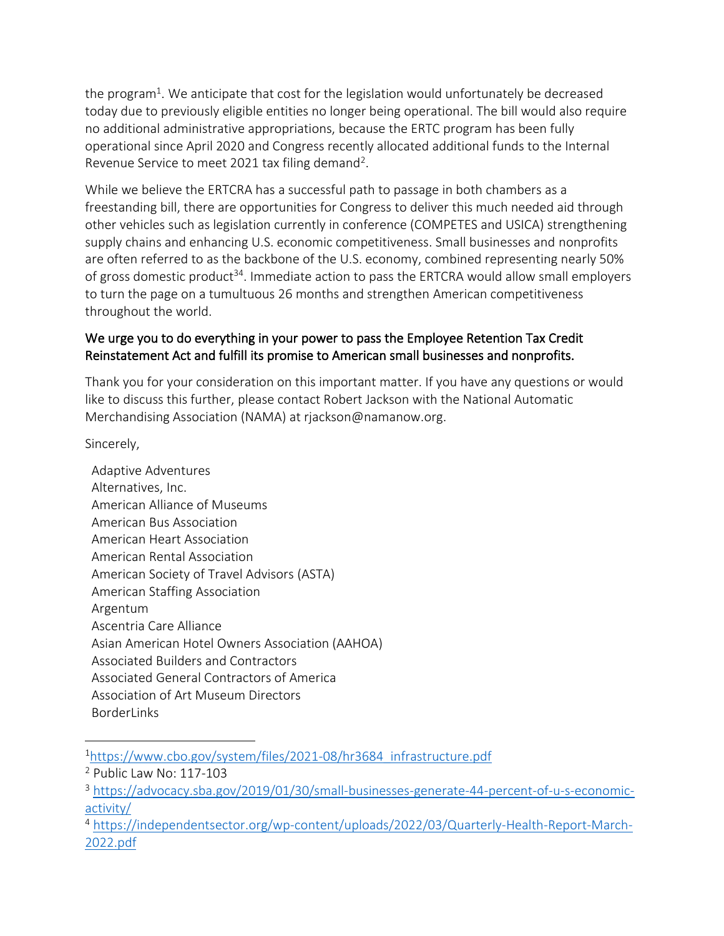the program<sup>1</sup>. We anticipate that cost for the legislation would unfortunately be decreased today due to previously eligible entities no longer being operational. The bill would also require no additional administrative appropriations, because the ERTC program has been fully operational since April 2020 and Congress recently allocated additional funds to the Internal Revenue Service to meet 2021 tax filing demand<sup>2</sup>.

While we believe the ERTCRA has a successful path to passage in both chambers as a freestanding bill, there are opportunities for Congress to deliver this much needed aid through other vehicles such as legislation currently in conference (COMPETES and USICA) strengthening supply chains and enhancing U.S. economic competitiveness. Small businesses and nonprofits are often referred to as the backbone of the U.S. economy, combined representing nearly 50% of gross domestic product<sup>34</sup>. Immediate action to pass the ERTCRA would allow small employers to turn the page on a tumultuous 26 months and strengthen American competitiveness throughout the world.

## We urge you to do everything in your power to pass the Employee Retention Tax Credit Reinstatement Act and fulfill its promise to American small businesses and nonprofits.

Thank you for your consideration on this important matter. If you have any questions or would like to discuss this further, please contact Robert Jackson with the National Automatic Merchandising Association (NAMA) at rjackson@namanow.org.

Sincerely,

Adaptive Adventures Alternatives, Inc. American Alliance of Museums American Bus Association American Heart Association American Rental Association American Society of Travel Advisors (ASTA) American Staffing Association Argentum Ascentria Care Alliance Asian American Hotel Owners Association (AAHOA) Associated Builders and Contractors Associated General Contractors of America Association of Art Museum Directors BorderLinks

<sup>1</sup>[https://www.cbo.gov/system/files/2021-08/hr3684\\_infrastructure.pdf](https://www.cbo.gov/system/files/2021-08/hr3684_infrastructure.pdf)

<sup>2</sup> Public Law No: 117-103

<sup>3</sup> [https://advocacy.sba.gov/2019/01/30/small-businesses-generate-44-percent-of-u-s-economic](https://advocacy.sba.gov/2019/01/30/small-businesses-generate-44-percent-of-u-s-economic-activity/)[activity/](https://advocacy.sba.gov/2019/01/30/small-businesses-generate-44-percent-of-u-s-economic-activity/)

<sup>4</sup> [https://independentsector.org/wp-content/uploads/2022/03/Quarterly-Health-Report-March-](https://independentsector.org/wp-content/uploads/2022/03/Quarterly-Health-Report-March-2022.pdf)[2022.pdf](https://independentsector.org/wp-content/uploads/2022/03/Quarterly-Health-Report-March-2022.pdf)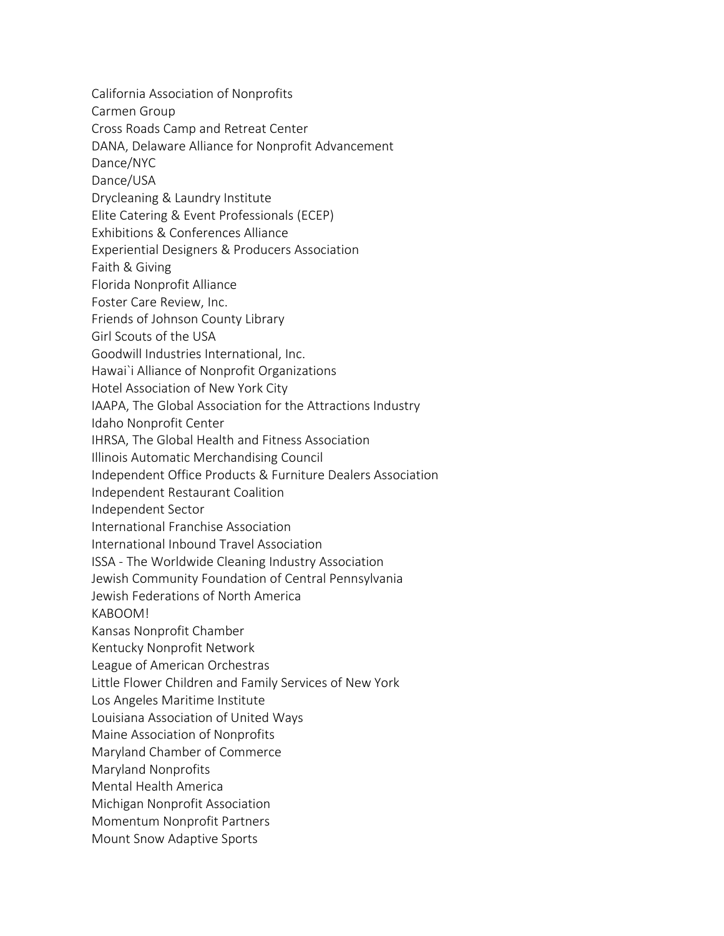California Association of Nonprofits

Carmen Group

Cross Roads Camp and Retreat Center

DANA, Delaware Alliance for Nonprofit Advancement

Dance/NYC

Dance/USA

Drycleaning & Laundry Institute

Elite Catering & Event Professionals (ECEP)

Exhibitions & Conferences Alliance

Experiential Designers & Producers Association

Faith & Giving

Florida Nonprofit Alliance

Foster Care Review, Inc.

Friends of Johnson County Library

Girl Scouts of the USA

Goodwill Industries International, Inc.

Hawai`i Alliance of Nonprofit Organizations

Hotel Association of New York City

IAAPA, The Global Association for the Attractions Industry

Idaho Nonprofit Center

IHRSA, The Global Health and Fitness Association

Illinois Automatic Merchandising Council

Independent Office Products & Furniture Dealers Association

Independent Restaurant Coalition

Independent Sector

International Franchise Association

International Inbound Travel Association

ISSA - The Worldwide Cleaning Industry Association

Jewish Community Foundation of Central Pennsylvania

Jewish Federations of North America

KABOOM!

Kansas Nonprofit Chamber

Kentucky Nonprofit Network

League of American Orchestras

Little Flower Children and Family Services of New York

Los Angeles Maritime Institute

Louisiana Association of United Ways

Maine Association of Nonprofits

Maryland Chamber of Commerce

Maryland Nonprofits

Mental Health America

Michigan Nonprofit Association

Momentum Nonprofit Partners

Mount Snow Adaptive Sports